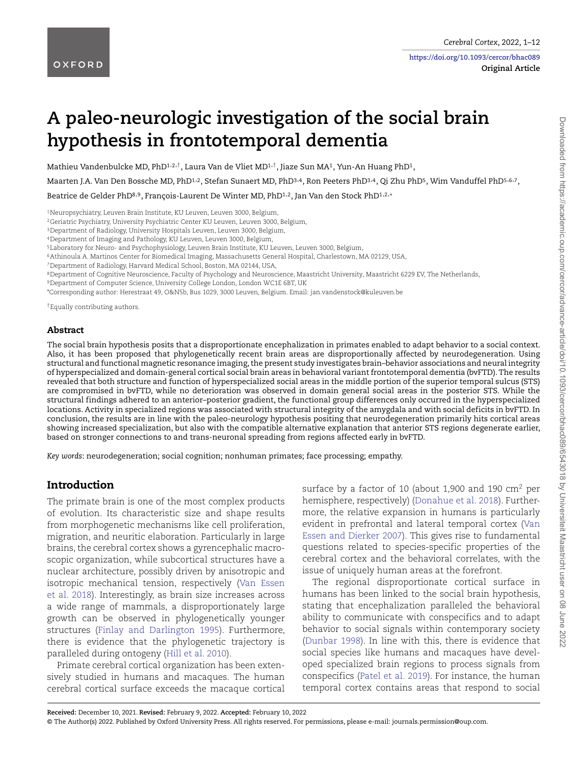# **A paleo-neurologic investigation of the social brain hypothesis in frontotemporal dementia**

Mathieu Vandenbulcke MD, PhD1,2,†, Laura Van de Vliet MD1,†, Jiaze Sun MA1, Yun-An Huang PhD1,

Maarten J.A. Van Den Bossche MD, PhD<sup>1,2</sup>, Stefan Sunaert MD, PhD<sup>3,4</sup>, Ron Peeters PhD<sup>3,4</sup>, Qi Zhu PhD<sup>5</sup>, Wim Vanduffel PhD<sup>5,6,7</sup>,

Beatrice de Gelder PhD<sup>8,9</sup>, François-Laurent De Winter MD, PhD<sup>1,2</sup>, Jan Van den Stock PhD<sup>1,2,∗</sup>

1Neuropsychiatry, Leuven Brain Institute, KU Leuven, Leuven 3000, Belgium,

2Geriatric Psychiatry, University Psychiatric Center KU Leuven, Leuven 3000, Belgium,

3Department of Radiology, University Hospitals Leuven, Leuven 3000, Belgium,

4Department of Imaging and Pathology, KU Leuven, Leuven 3000, Belgium,

5Laboratory for Neuro- and Psychophysiology, Leuven Brain Institute, KU Leuven, Leuven 3000, Belgium,

6Athinoula A. Martinos Center for Biomedical Imaging, Massachusetts General Hospital, Charlestown, MA 02129, USA,

7Department of Radiology, Harvard Medical School, Boston, MA 02144, USA,

8Department of Cognitive Neuroscience, Faculty of Psychology and Neuroscience, Maastricht University, Maastricht 6229 EV, The Netherlands,

9Department of Computer Science, University College London, London WC1E 6BT, UK

\*Corresponding author: Herestraat 49, O&N5b, Bus 1029, 3000 Leuven, Belgium. Email: jan.vandenstock@kuleuven.be

†Equally contributing authors.

#### **Abstract**

The social brain hypothesis posits that a disproportionate encephalization in primates enabled to adapt behavior to a social context. Also, it has been proposed that phylogenetically recent brain areas are disproportionally affected by neurodegeneration. Using structural and functional magnetic resonance imaging, the present study investigates brain–behavior associations and neural integrity of hyperspecialized and domain-general cortical social brain areas in behavioral variant frontotemporal dementia (bvFTD). The results revealed that both structure and function of hyperspecialized social areas in the middle portion of the superior temporal sulcus (STS) are compromised in bvFTD, while no deterioration was observed in domain general social areas in the posterior STS. While the structural findings adhered to an anterior–posterior gradient, the functional group differences only occurred in the hyperspecialized locations. Activity in specialized regions was associated with structural integrity of the amygdala and with social deficits in bvFTD. In conclusion, the results are in line with the paleo-neurology hypothesis positing that neurodegeneration primarily hits cortical areas showing increased specialization, but also with the compatible alternative explanation that anterior STS regions degenerate earlier, based on stronger connections to and trans-neuronal spreading from regions affected early in bvFTD.

*Key words*: neurodegeneration; social cognition; nonhuman primates; face processing; empathy.

# **Introduction**

The primate brain is one of the most complex products of evolution. Its characteristic size and shape results from morphogenetic mechanisms like cell proliferation, migration, and neuritic elaboration. Particularly in large brains, the cerebral cortex shows a gyrencephalic macroscopic organization, while subcortical structures have a nuclear architecture, possibly driven by anisotropic and isotropic mechanical tension, respectively [\(Van Essen](#page-11-0) et al. 2018). Interestingly, as brain size increases across a wide range of mammals, a disproportionately large growth can be observed in phylogenetically younger structures [\(Finlay and Darlington 199](#page-10-0)5). Furthermore, there is evidence that the phylogenetic trajectory is paralleled during ontogeny [\(Hill et al. 2010\)](#page-10-1).

Primate cerebral cortical organization has been extensively studied in humans and macaques. The human cerebral cortical surface exceeds the macaque cortical

surface by a factor of 10 (about 1,900 and 190  $\text{cm}^2$  per hemisphere, respectively) ([Donahue et al. 2018\)](#page-9-0). Furthermore, the relative expansion in humans is particularly evident in prefrontal and lateral temporal cortex [\(Van](#page-11-1) Essen and Dierker 2007). This gives rise to fundamental questions related to species-specific properties of the cerebral cortex and the behavioral correlates, with the issue of uniquely human areas at the forefront.

The regional disproportionate cortical surface in humans has been linked to the social brain hypothesis, stating that encephalization paralleled the behavioral ability to communicate with conspecifics and to adapt behavior to social signals within contemporary society [\(Dunbar 1998](#page-9-1)). In line with this, there is evidence that social species like humans and macaques have developed specialized brain regions to process signals from conspecifics [\(Patel et al. 2019](#page-10-2)). For instance, the human temporal cortex contains areas that respond to social

Downloaded from https://academic.oup.com/cercor/advance-article/doi/10.1093/cercor/bhac089/6543018 by Universiteit Maastricht user on 08 June 2022 Downloaded from https://academic.oup.com/cercor/advance-article/doi/10.1093/cercor/bhac089/6543018 by Universiteit Maastricht user on 08 June 2022

<sup>©</sup> The Author(s) 2022. Published by Oxford University Press. All rights reserved. For permissions, please e-mail: journals.permission@oup.com.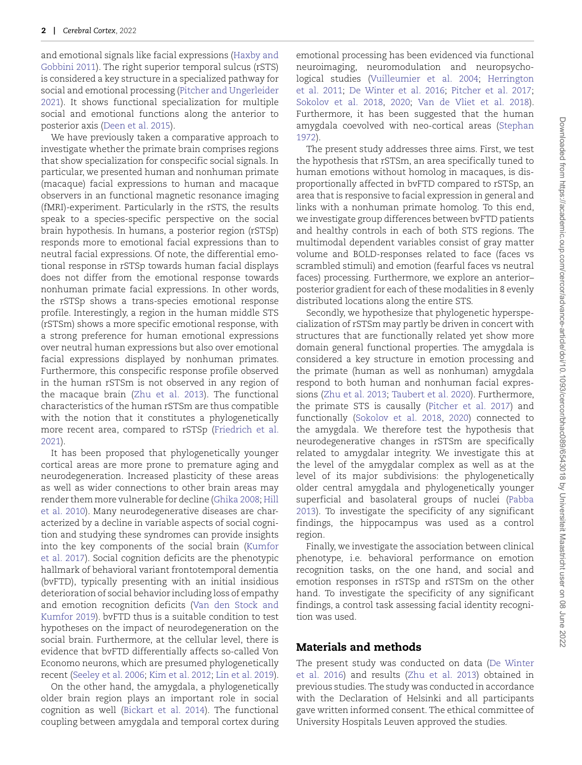and emotional signals like facial expressions ([Haxby and](#page-10-3) Gobbini 2011). The right superior temporal sulcus (rSTS) is considered a key structure in a specialized pathway for social and emotional processing ([Pitcher and Ungerleider](#page-10-4) 2021). It shows functional specialization for multiple social and emotional functions along the anterior to posterior axis ([Deen et al. 2015](#page-9-2)).

We have previously taken a comparative approach to investigate whether the primate brain comprises regions that show specialization for conspecific social signals. In particular, we presented human and nonhuman primate (macaque) facial expressions to human and macaque observers in an functional magnetic resonance imaging (fMRI)-experiment. Particularly in the rSTS, the results speak to a species-specific perspective on the social brain hypothesis. In humans, a posterior region (rSTSp) responds more to emotional facial expressions than to neutral facial expressions. Of note, the differential emotional response in rSTSp towards human facial displays does not differ from the emotional response towards nonhuman primate facial expressions. In other words, the rSTSp shows a trans-species emotional response profile. Interestingly, a region in the human middle STS (rSTSm) shows a more specific emotional response, with a strong preference for human emotional expressions over neutral human expressions but also over emotional facial expressions displayed by nonhuman primates. Furthermore, this conspecific response profile observed in the human rSTSm is not observed in any region of the macaque brain [\(Zhu et al. 201](#page-11-2)3). The functional characteristics of the human rSTSm are thus compatible with the notion that it constitutes a phylogenetically more recent area, compared to rSTSp ([Friedrich et al.](#page-10-5) 2021).

It has been proposed that phylogenetically younger cortical areas are more prone to premature aging and neurodegeneration. Increased plasticity of these areas as well as wider connections to other brain areas may render them more vulnerable for decline ([Ghika 2008;](#page-10-6) Hill et al. 2010). Many neurodegenerative diseases are characterized by a decline in variable aspects of social cognition and studying these syndromes can provide insights into the key components of the social brain [\(Kumfor](#page-10-7) et al. 2017). Social cognition deficits are the phenotypic hallmark of behavioral variant frontotemporal dementia (bvFTD), typically presenting with an initial insidious deterioration of social behavior including loss of empathy and emotion recognition deficits ([Van den Stock and](#page-11-3) Kumfor 2019). bvFTD thus is a suitable condition to test hypotheses on the impact of neurodegeneration on the social brain. Furthermore, at the cellular level, there is evidence that bvFTD differentially affects so-called Von Economo neurons, which are presumed phylogenetically recent ([Seeley et al. 2006;](#page-10-8) [Kim et al. 2012](#page-10-9); [Lin et al. 2019\)](#page-10-10).

On the other hand, the amygdala, a phylogenetically older brain region plays an important role in social cognition as well ([Bickart et al. 201](#page-9-3)4). The functional coupling between amygdala and temporal cortex during

emotional processing has been evidenced via functional neuroimaging, neuromodulation and neuropsychological studies [\(Vuilleumier et al. 20](#page-11-4)04; [Herrington](#page-10-11) et al. 2011; [De Winter et al. 201](#page-9-4)6; [Pitcher et al. 201](#page-10-12)7; [Sokolov et al. 201](#page-10-13)8, [2020;](#page-10-14) [Van de Vliet et al. 2](#page-11-5)018). Furthermore, it has been suggested that the human amygdala coevolved with neo-cortical areas ([Stephan](#page-10-15) 1972).

The present study addresses three aims. First, we test the hypothesis that rSTSm, an area specifically tuned to human emotions without homolog in macaques, is disproportionally affected in bvFTD compared to rSTSp, an area that is responsive to facial expression in general and links with a nonhuman primate homolog. To this end, we investigate group differences between bvFTD patients and healthy controls in each of both STS regions. The multimodal dependent variables consist of gray matter volume and BOLD-responses related to face (faces vs scrambled stimuli) and emotion (fearful faces vs neutral faces) processing. Furthermore, we explore an anterior– posterior gradient for each of these modalities in 8 evenly distributed locations along the entire STS.

Secondly, we hypothesize that phylogenetic hyperspecialization of rSTSm may partly be driven in concert with structures that are functionally related yet show more domain general functional properties. The amygdala is considered a key structure in emotion processing and the primate (human as well as nonhuman) amygdala respond to both human and nonhuman facial expressions [\(Zhu et al. 2013](#page-11-2); [Taubert et al. 2020](#page-10-16)). Furthermore, the primate STS is causally ([Pitcher et al. 201](#page-10-12)7) and functionally ([Sokolov et al. 201](#page-10-13)8, [2020](#page-10-14)) connected to the amygdala. We therefore test the hypothesis that neurodegenerative changes in rSTSm are specifically related to amygdalar integrity. We investigate this at the level of the amygdalar complex as well as at the level of its major subdivisions: the phylogenetically older central amygdala and phylogenetically younger [superf](#page-10-1)icial and basolateral groups of nuclei ([Pabba](#page-10-17) 2013). To investigate the specificity of any significant findings, the hippocampus was used as a control region.

Finally, we investigate the association between clinical phenotype, i.e. behavioral performance on emotion recognition tasks, on the one hand, and social and emotion responses in rSTSp and rSTSm on the other hand. To investigate the specificity of any significant findings, a control task assessing facial identity recognition was used.

## **Materials and methods**

The present study was conducted on data ([De Winter](#page-9-4) et al. 2016) and results [\(Zhu et al. 201](#page-11-2)3) obtained in previous studies. The study was conducted in accordance with the Declaration of Helsinki and all participants gave written informed consent. The ethical committee of University Hospitals Leuven approved the studies.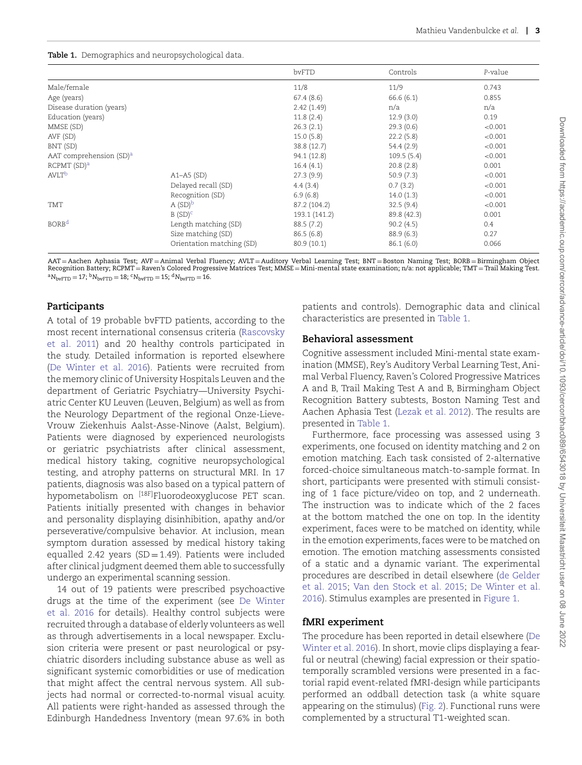<span id="page-2-4"></span>**Table 1.** Demographics and neuropsychological data.

|                                     |                           | bvFTD         | Controls    | P-value |
|-------------------------------------|---------------------------|---------------|-------------|---------|
| Male/female                         |                           | 11/8          | 11/9        | 0.743   |
| Age (years)                         |                           | 67.4(8.6)     | 66.6(6.1)   | 0.855   |
| Disease duration (years)            |                           | 2.42(1.49)    | n/a         | n/a     |
| Education (years)                   |                           | 11.8(2.4)     | 12.9(3.0)   | 0.19    |
| MMSE (SD)                           |                           | 26.3(2.1)     | 29.3(0.6)   | < 0.001 |
| AVF (SD)                            |                           | 15.0(5.8)     | 22.2(5.8)   | < 0.001 |
| BNT (SD)                            |                           | 38.8 (12.7)   | 54.4(2.9)   | < 0.001 |
| AAT comprehension (SD) <sup>a</sup> |                           | 94.1 (12.8)   | 109.5(5.4)  | < 0.001 |
| RCPMT(SD) <sup>a</sup>              |                           | 16.4(4.1)     | 20.8(2.8)   | 0.001   |
| AVLT <sup>b</sup>                   | $A1 - A5$ (SD)            | 27.3(9.9)     | 50.9(7.3)   | < 0.001 |
|                                     | Delayed recall (SD)       | 4.4(3.4)      | 0.7(3.2)    | < 0.001 |
|                                     | Recognition (SD)          | 6.9(6.8)      | 14.0(1.3)   | < 0.001 |
| <b>TMT</b>                          | $A(SD)^b$                 | 87.2 (104.2)  | 32.5(9.4)   | < 0.001 |
|                                     | $B(SD)^c$                 | 193.1 (141.2) | 89.8 (42.3) | 0.001   |
| <b>BORB</b> <sup>d</sup>            | Length matching (SD)      | 88.5(7.2)     | 90.2(4.5)   | 0.4     |
|                                     | Size matching (SD)        | 86.5(6.8)     | 88.9(6.3)   | 0.27    |
|                                     | Orientation matching (SD) | 80.9(10.1)    | 86.1(6.0)   | 0.066   |

<span id="page-2-3"></span><span id="page-2-2"></span>AAT = Aachen Aphasia Test; AVF = Animal Verbal Fluency; AVLT = Auditory Verbal Learning Test; BNT = Boston Naming Test; BORB = Birmingham Object<br>Recognition Battery; RCPMT = Raven's Colored Progressive Matrices Test; MMSE

## <span id="page-2-1"></span><span id="page-2-0"></span>**Participants**

A total of 19 probable bvFTD patients, according to the most recent international consensus criteria [\(Rascovsky](#page-10-18) et al. 2011) and 20 healthy controls participated in the study. Detailed information is reported elsewhere [\(De Winter et al. 201](#page-9-4)6). Patients were recruited from the memory clinic of University Hospitals Leuven and the department of Geriatric Psychiatry—University Psychiatric Center KU Leuven (Leuven, Belgium) as well as from the Neurology Department of the regional Onze-Lieve-Vrouw Ziekenhuis Aalst-Asse-Ninove (Aalst, Belgium). Patients were diagnosed by experienced neurologists or geriatric psychiatrists after clinical assessment, medical history taking, cognitive neuropsychological testing, and atrophy patterns on structural MRI. In 17 patients, diagnosis was also based on a typical pattern of hypometabolism on [18F]Fluorodeoxyglucose PET scan. Patients initially presented with changes in behavior and personality displaying disinhibition, apathy and/or perseverative/compulsive behavior. At inclusion, mean symptom duration assessed by medical history taking equalled 2.42 years (SD =  $1.49$ ). Patients were included after clinical judgment deemed them able to successfully undergo an experimental scanning session.

14 out of 19 patients were prescribed psychoactive drugs at the time of the experiment (see [De Winter](#page-9-4) et al. 2016 for details). Healthy control subjects were recruited through a database of elderly volunteers as well as through advertisements in a local newspaper. Exclusion criteria were present or past neurological or psychiatric disorders including substance abuse as well as significant systemic comorbidities or use of medication that might affect the central nervous system. All subjects had normal or corrected-to-normal visual acuity. All patients were right-handed as assessed through the Edinburgh Handedness Inventory (mean 97.6% in both patients and controls). Demographic data and clinical characteristics are presented in [Table 1.](#page-2-4)

## **Behavioral assessment**

Cognitive assessment included Mini-mental state examination (MMSE), Rey's Auditory Verbal Learning Test, Animal Verbal Fluency, Raven's Colored Progressive Matrices A and B, Trail Making Test A and B, Birmingham Object Recognition Battery subtests, Boston Naming Test and Aachen Aphasia Test ([Lezak et al. 2012](#page-10-19)). The results are presented in [Table 1.](#page-2-4)

Furthermore, face processing was assessed using 3 experiments, one focused on identity matching and 2 on emotion matching. Each task consisted of 2-alternative forced-choice simultaneous match-to-sample format. In short, participants were presented with stimuli consisting of 1 face picture/video on top, and 2 underneath. The instruction was to indicate which of the 2 faces at the bottom matched the one on top. In the identity experiment, faces were to be matched on identity, while in the emotion experiments, faces were to be matched on emotion. The emotion matching assessments consisted of a static and a dynamic variant. The experimental procedures are described in detail elsewhere ([de Gelder](#page-9-5) et al. 2015; [Van den Stock et al. 201](#page-11-6)5; [De Winter et al.](#page-9-4) 2016). Stimulus examples are presented in [Figure 1](#page-3-0).

## **fMRI experiment**

The procedure has been reported in detail elsewhere [\(De](#page-9-4) Winter et al. 2016). In short, movie clips displaying a fearful or neutral (chewing) facial expression or their spatiotemporally scrambled versions were presented in a factorial rapid event-related fMRI-design while participants performed an oddball detection task (a white square appearing on the stimulus) [\(Fig. 2](#page-4-0)). Functional runs were complemented by a structural T1-weighted scan.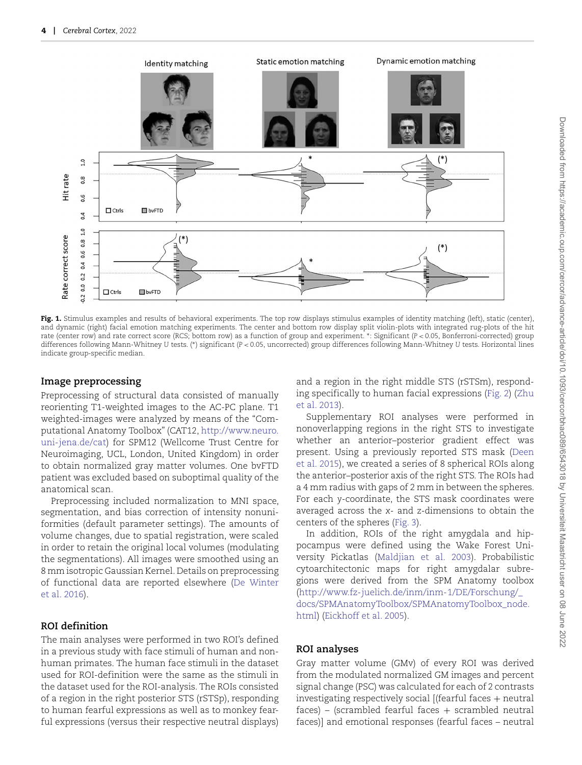

<span id="page-3-0"></span>**Fig. 1.** Stimulus examples and results of behavioral experiments. The top row displays stimulus examples of identity matching (left), static (center), and dynamic (right) facial emotion matching experiments. The center and bottom row display split violin-plots with integrated rug-plots of the hit rate (center row) and rate correct score (RCS; bottom row) as a function of group and experiment. ∗: Significant (*P <* 0.05, Bonferroni-corrected) group differences following Mann-Whitney *U* tests. (∗) significant (*P <* 0.05, uncorrected) group differences following Mann-Whitney *U* tests. Horizontal lines indicate group-specific median.

#### **Image preprocessing**

Preprocessing of structural data consisted of manually reorienting T1-weighted images to the AC-PC plane. T1 weighted-images were analyzed by means of the "Computational Anatomy Toolbox" (CAT12, [http://www.neuro.](http://www.neuro.uni-jena.de/cat) [uni-jena.de/cat\)](http://www.neuro.uni-jena.de/cat) for SPM12 (Wellcome Trust Centre for Neuroimaging, UCL, London, United Kingdom) in order to obtain normalized gray matter volumes. One bvFTD patient was excluded based on suboptimal quality of the anatomical scan.

Preprocessing included normalization to MNI space, segmentation, and bias correction of intensity nonuniformities (default parameter settings). The amounts of volume changes, due to spatial registration, were scaled in order to retain the original local volumes (modulating the segmentations). All images were smoothed using an 8 mm isotropic Gaussian Kernel. Details on preprocessing of functional data are reported elsewhere [\(De Winter](#page-9-4) et al. 2016).

#### **ROI definition**

The main analyses were performed in two ROI's defined in a previous study with face stimuli of human and nonhuman primates. The human face stimuli in the dataset used for ROI-definition were the same as the stimuli in the dataset used for the ROI-analysis. The ROIs consisted of a region in the right posterior STS (rSTSp), responding to human fearful expressions as well as to monkey fearful expressions (versus their respective neutral displays)

and a region in the right middle STS (rSTSm), responding specifically to human facial expressions ([Fig. 2\)](#page-4-0) [\(Zhu](#page-11-2) et al. 2013).

Supplementary ROI analyses were performed in nonoverlapping regions in the right STS to investigate whether an anterior–posterior gradient effect was present. Using a previously reported STS mask [\(Deen](#page-9-2) et al. 2015), we created a series of 8 spherical ROIs along the anterior–posterior axis of the right STS. The ROIs had a 4 mm radius with gaps of 2 mm in between the spheres. For each *y*-coordinate, the STS mask coordinates were averaged across the *x*- and *z*-dimensions to obtain the centers of the spheres ([Fig. 3](#page-5-0)).

In addition, ROIs of the right amygdala and hippocampus were defined using the Wake Forest University Pickatlas [\(Maldjian et al. 20](#page-10-20)03). Probabilistic cytoarchitectonic maps for right amygdalar subregions were derived from the SPM Anatomy toolbox [\(http://www.fz-juelich.de/inm/inm-1/DE/Forschung/\\_](http://www.fz-juelich.de/inm/inm-1/DE/Forschung/_docs/SPMAnatomyToolbox/SPMAnatomyToolbox_node.html) [docs/SPMAnatomyToolbox/SPMAnatomyToolbox\\_node.](http://www.fz-juelich.de/inm/inm-1/DE/Forschung/_docs/SPMAnatomyToolbox/SPMAnatomyToolbox_node.html) [html\)](http://www.fz-juelich.de/inm/inm-1/DE/Forschung/_docs/SPMAnatomyToolbox/SPMAnatomyToolbox_node.html) [\(Eickhoff et al. 2005\)](#page-9-6).

## **ROI analyses**

Gray matter volume (GMv) of every ROI was derived from the modulated normalized GM images and percent signal change (PSC) was calculated for each of 2 contrasts investigating respectively social [(fearful faces + neutral  $faces$ ) – (scrambled fearful faces  $+$  scrambled neutral faces)] and emotional responses (fearful faces – neutral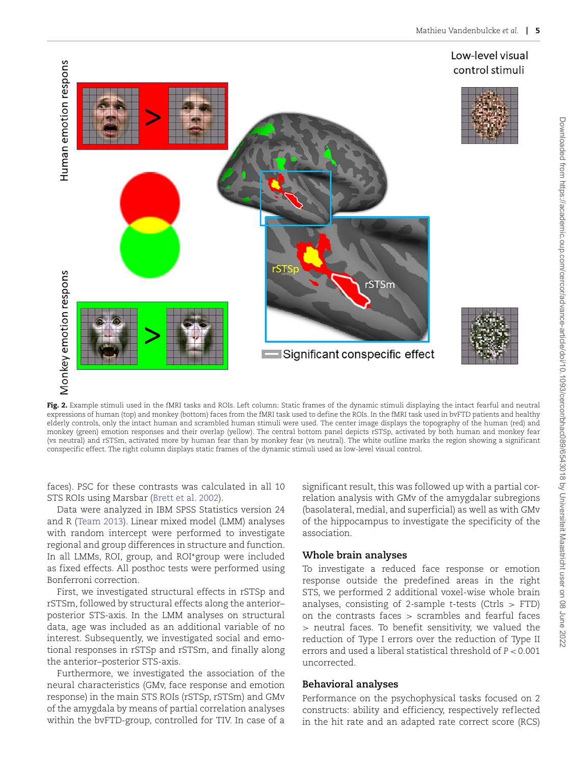

<span id="page-4-0"></span>**Fig. 2.** Example stimuli used in the fMRI tasks and ROIs. Left column: Static frames of the dynamic stimuli displaying the intact fearful and neutral expressions of human (top) and monkey (bottom) faces from the fMRI task used to define the ROIs. In the fMRI task used in bvFTD patients and healthy elderly controls, only the intact human and scrambled human stimuli were used. The center image displays the topography of the human (red) and monkey (green) emotion responses and their overlap (yellow). The central bottom panel depicts rSTSp, activated by both human and monkey fear (vs neutral) and rSTSm, activated more by human fear than by monkey fear (vs neutral). The white outline marks the region showing a significant conspecific effect. The right column displays static frames of the dynamic stimuli used as low-level visual control.

faces). PSC for these contrasts was calculated in all 10 STS ROIs using Marsbar ([Brett et al. 2002\)](#page-9-7).

Data were analyzed in IBM SPSS Statistics version 24 and R [\(Team 2013](#page-10-21)). Linear mixed model (LMM) analyses with random intercept were performed to investigate regional and group differences in structure and function. In all LMMs, ROI, group, and ROI∗group were included as fixed effects. All posthoc tests were performed using Bonferroni correction.

First, we investigated structural effects in rSTSp and rSTSm, followed by structural effects along the anterior– posterior STS-axis. In the LMM analyses on structural data, age was included as an additional variable of no interest. Subsequently, we investigated social and emotional responses in rSTSp and rSTSm, and finally along the anterior–posterior STS-axis.

Furthermore, we investigated the association of the neural characteristics (GMv, face response and emotion response) in the main STS ROIs (rSTSp, rSTSm) and GMv of the amygdala by means of partial correlation analyses within the bvFTD-group, controlled for TIV. In case of a

significant result, this was followed up with a partial correlation analysis with GMv of the amygdalar subregions (basolateral, medial, and superficial) as well as with GMv of the hippocampus to investigate the specificity of the association.

## **Whole brain analyses**

To investigate a reduced face response or emotion response outside the predefined areas in the right STS, we performed 2 additional voxel-wise whole brain analyses, consisting of 2-sample *t*-tests (Ctrls *>* FTD) on the contrasts faces *>* scrambles and fearful faces *>* neutral faces. To benefit sensitivity, we valued the reduction of Type I errors over the reduction of Type II errors and used a liberal statistical threshold of *P <* 0.001 uncorrected.

## **Behavioral analyses**

Performance on the psychophysical tasks focused on 2 constructs: ability and efficiency, respectively ref lected in the hit rate and an adapted rate correct score (RCS)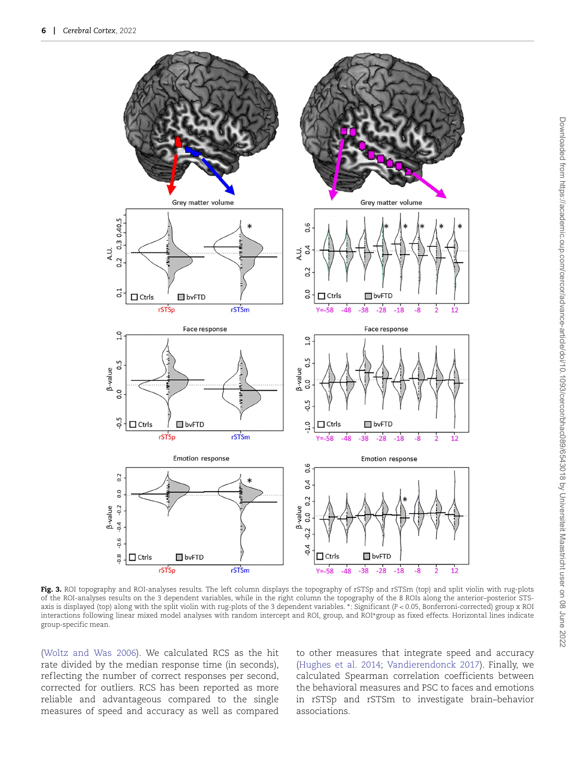

<span id="page-5-0"></span>Fig. 3. ROI topography and ROI-analyses results. The left column displays the topography of rSTSp and rSTSm (top) and split violin with rug-plots of the ROI-analyses results on the 3 dependent variables, while in the right column the topography of the 8 ROIs along the anterior–posterior STSaxis is displayed (top) along with the split violin with rug-plots of the 3 dependent variables. ∗: Significant (*P <* 0.05, Bonferroni-corrected) group x ROI interactions following linear mixed model analyses with random intercept and ROI, group, and ROI∗group as fixed effects. Horizontal lines indicate group-specific mean.

([Woltz and Was 200](#page-11-7)6). We calculated RCS as the hit rate divided by the median response time (in seconds), reflecting the number of correct responses per second, corrected for outliers. RCS has been reported as more reliable and advantageous compared to the single measures of speed and accuracy as well as compared

to other measures that integrate speed and accuracy [\(Hughes et al. 2014](#page-10-22); [Vandierendonck 2017](#page-11-8)). Finally, we calculated Spearman correlation coefficients between the behavioral measures and PSC to faces and emotions in rSTSp and rSTSm to investigate brain–behavior associations.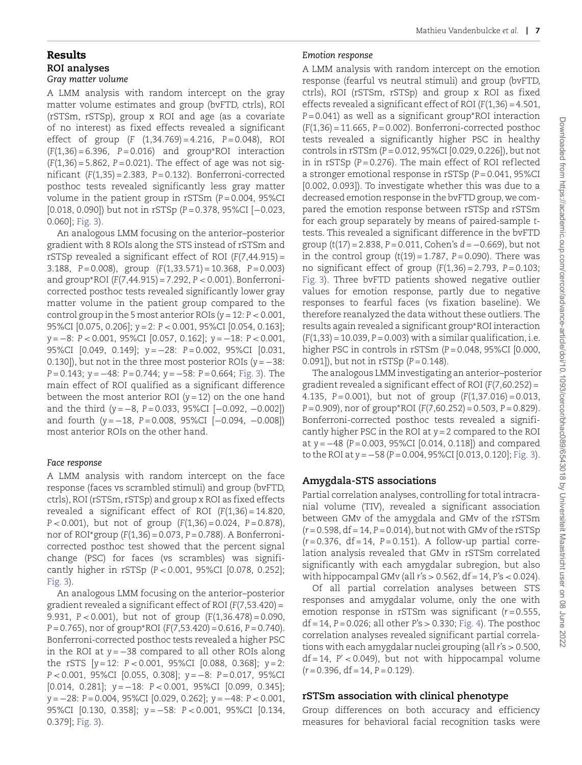## **Results ROI analyses** *Gray matter volume*

A LMM analysis with random intercept on the gray matter volume estimates and group (bvFTD, ctrls), ROI (rSTSm, rSTSp), group x ROI and age (as a covariate of no interest) as fixed effects revealed a significant effect of group (*F* (1,34.769) = 4.216, *P* = 0.048), ROI (*F*(1,36) = 6.396, *P* = 0.016) and group∗ROI interaction (*F*(1,36) = 5.862, *P* = 0.021). The effect of age was not significant (*F*(1,35) = 2.383, *P* = 0.132). Bonferroni-corrected posthoc tests revealed significantly less gray matter volume in the patient group in rSTSm (*P* = 0.004, 95%CI [0.018, 0.090]) but not in rSTSp (*P* = 0.378, 95%CI [−0.023, 0.060]; [Fig. 3\)](#page-5-0).

An analogous LMM focusing on the anterior–posterior gradient with 8 ROIs along the STS instead of rSTSm and rSTSp revealed a significant effect of ROI (*F*(7,44.915) = 3.188, *P* = 0.008), group (*F*(1,33.571) = 10.368, *P* = 0.003) and group∗ROI (*F*(7,44.915) = 7.292, *P <* 0.001). Bonferronicorrected posthoc tests revealed significantly lower gray matter volume in the patient group compared to the control group in the 5 most anterior ROIs (*y* = 12: *P <* 0.001, 95%CI [0.075, 0.206]; *y* = 2: *P <* 0.001, 95%CI [0.054, 0.163]; *y* = −8: *P <* 0.001, 95%CI [0.057, 0.162]; *y* = −18: *P <* 0.001, 95%CI [0.049, 0.149]; *y* = −28: *P* = 0.002, 95%CI [0.031, 0.130]), but not in the three most posterior ROIs (*y* = −38: *P* = 0.143; *y* = −48: *P* = 0.744; *y* = −58: *P* = 0.664; [Fig. 3\)](#page-5-0). The main effect of ROI qualified as a significant difference between the most anterior ROI (*y* = 12) on the one hand and the third (*y* = −8, *P* = 0.033, 95%CI [−0.092, −0.002]) and fourth (*y* = −18, *P* = 0.008, 95%CI [−0.094, −0.008]) most anterior ROIs on the other hand.

#### *Face response*

A LMM analysis with random intercept on the face response (faces vs scrambled stimuli) and group (bvFTD, ctrls), ROI (rSTSm, rSTSp) and group x ROI as fixed effects revealed a significant effect of ROI (*F*(1,36) = 14.820, *P <* 0.001), but not of group (*F*(1,36) = 0.024, *P* = 0.878), nor of ROI∗group (*F*(1,36) = 0.073, *P* = 0.788). A Bonferronicorrected posthoc test showed that the percent signal change (PSC) for faces (vs scrambles) was significantly higher in rSTSp (*P <* 0.001, 95%CI [0.078, 0.252]; [Fig. 3](#page-5-0)).

An analogous LMM focusing on the anterior–posterior gradient revealed a significant effect of ROI (*F*(7,53.420) = 9.931, *P <* 0.001), but not of group (F(1,36.478) = 0.090, *P* = 0.765), nor of group∗ROI (*F*(7,53.420) = 0.616, *P* = 0.740). Bonferroni-corrected posthoc tests revealed a higher PSC in the ROI at *y* = −38 compared to all other ROIs along the rSTS [*y* = 12: *P <* 0.001, 95%CI [0.088, 0.368]; *y* = 2: *P <* 0.001, 95%CI [0.055, 0.308]; *y* = −8: *P* = 0.017, 95%CI [0.014, 0.281]; *y* = −18: *P <* 0.001, 95%CI [0.099, 0.345]; *y* = −28: *P* = 0.004, 95%CI [0.029, 0.262]; *y* = −48: *P <* 0.001, 95%CI [0.130, 0.358]; *y* = −58: *P <* 0.001, 95%CI [0.134, 0.379]; [Fig. 3\)](#page-5-0).

#### *Emotion response*

A LMM analysis with random intercept on the emotion response (fearful vs neutral stimuli) and group (bvFTD, ctrls), ROI (rSTSm, rSTSp) and group x ROI as fixed effects revealed a significant effect of ROI (*F*(1,36) = 4.501, *P* = 0.041) as well as a significant group\*ROI interaction (*F*(1,36) = 11.665, *P* = 0.002). Bonferroni-corrected posthoc tests revealed a significantly higher PSC in healthy controls in rSTSm (*P* = 0.012, 95%CI [0.029, 0.226]), but not in in rSTSp (*P* = 0.276). The main effect of ROI ref lected a stronger emotional response in rSTSp (*P* = 0.041, 95%CI [0.002, 0.093]). To investigate whether this was due to a decreased emotion response in the bvFTD group, we compared the emotion response between rSTSp and rSTSm for each group separately by means of paired-sample *t*tests. This revealed a significant difference in the bvFTD group (*t*(17) = 2.838, *P* = 0.011, Cohen's *d* = −0.669), but not in the control group (*t*(19) = 1.787, *P* = 0.090). There was no significant effect of group (*F*(1,36) = 2.793, *P* = 0.103; [Fig. 3\)](#page-5-0). Three bvFTD patients showed negative outlier values for emotion response, partly due to negative responses to fearful faces (vs fixation baseline). We therefore reanalyzed the data without these outliers. The results again revealed a significant group∗ROI interaction (*F*(1,33) = 10.039, *P* = 0.003) with a similar qualification, i.e. higher PSC in controls in rSTSm (*P* = 0.048, 95%CI [0.000, 0.091]), but not in rSTSp (*P* = 0.148).

The analogous LMM investigating an anterior–posterior gradient revealed a significant effect of ROI (*F*(7,60.252) = 4.135, *P* = 0.001), but not of group (*F*(1,37.016) = 0.013, *P* = 0.909), nor of group∗ROI (*F*(7,60.252) = 0.503, *P* = 0.829). Bonferroni-corrected posthoc tests revealed a significantly higher PSC in the ROI at *y* = 2 compared to the ROI at *y* = −48 (*P* = 0.003, 95%CI [0.014, 0.118]) and compared to the ROI at *y* = −58 (*P* = 0.004, 95%CI [0.013, 0.120]; [Fig. 3\)](#page-5-0).

# **Amygdala-STS associations**

Partial correlation analyses, controlling for total intracranial volume (TIV), revealed a significant association between GMv of the amygdala and GMv of the rSTSm (*r* = 0.598, df = 14, *P* = 0.014), but not with GMv of the rSTSp (*r* = 0.376, df = 14, *P* = 0.151). A follow-up partial correlation analysis revealed that GMv in rSTSm correlated significantly with each amygdalar subregion, but also with hippocampal GMv (all *r*'s *>* 0.562, df = 14, *P*'s *<* 0.024).

Of all partial correlation analyses between STS responses and amygdalar volume, only the one with emotion response in rSTSm was significant (*r* = 0.555, df = 14, *P* = 0.026; all other *P*'s *>* 0.330; [Fig. 4](#page-7-0)). The posthoc correlation analyses revealed significant partial correlations with each amygdalar nuclei grouping (all *r*'s *>* 0.500, df = 14, *P <* 0.049), but not with hippocampal volume (*r* = 0.396, df = 14, *P* = 0.129).

## **rSTSm association with clinical phenotype**

Group differences on both accuracy and efficiency measures for behavioral facial recognition tasks were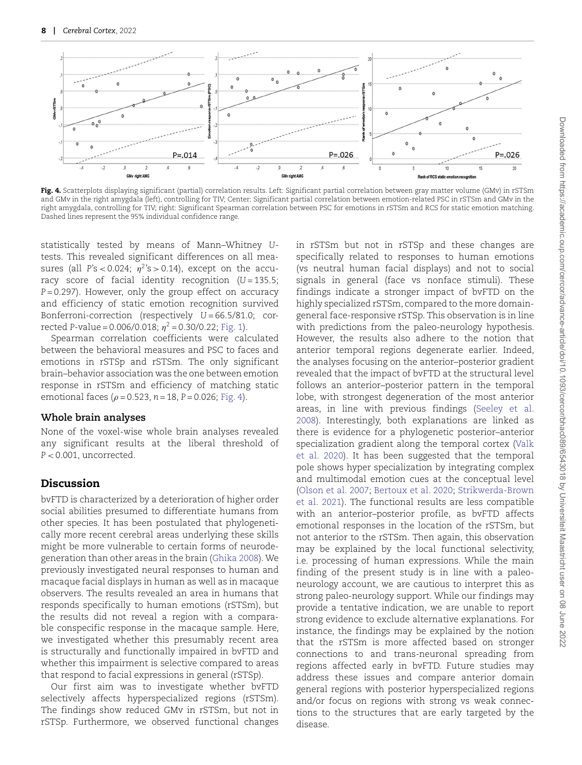

<span id="page-7-0"></span>Fig. 4. Scatterplots displaying significant (partial) correlation results. Left: Significant partial correlation between gray matter volume (GMv) in rSTSm and GMv in the right amygdala (left), controlling for TIV; Center: Significant partial correlation between emotion-related PSC in rSTSm and GMv in the right amygdala, controlling for TIV; right: Significant Spearman correlation between PSC for emotions in rSTSm and RCS for static emotion matching. Dashed lines represent the 95% individual confidence range.

statistically tested by means of Mann–Whitney *U*tests. This revealed significant differences on all measures (all *P*'s *<* 0.024; *η*2's *>* 0.14), except on the accuracy score of facial identity recognition (U=135.5; *P* = 0.297). However, only the group effect on accuracy and efficiency of static emotion recognition survived Bonferroni-correction (respectively *U* = 66.5/81.0; corrected *P*-value = 0.006/0.018;  $\eta^2$  = 0.30/0.22; [Fig. 1](#page-3-0)).

Spearman correlation coefficients were calculated between the behavioral measures and PSC to faces and emotions in rSTSp and rSTSm. The only significant brain–behavior association was the one between emotion response in rSTSm and efficiency of matching static emotional faces (*ρ* = 0.523, *n* = 18, *P* = 0.026; [Fig. 4](#page-7-0)).

#### **Whole brain analyses**

None of the voxel-wise whole brain analyses revealed any significant results at the liberal threshold of *P <* 0.001, uncorrected.

## **Discussion**

bvFTD is characterized by a deterioration of higher order social abilities presumed to differentiate humans from other species. It has been postulated that phylogenetically more recent cerebral areas underlying these skills might be more vulnerable to certain forms of neurodegeneration than other areas in the brain [\(Ghika 2008\)](#page-10-6). We previously investigated neural responses to human and macaque facial displays in human as well as in macaque observers. The results revealed an area in humans that responds specifically to human emotions (rSTSm), but the results did not reveal a region with a comparable conspecific response in the macaque sample. Here, we investigated whether this presumably recent area is structurally and functionally impaired in bvFTD and whether this impairment is selective compared to areas that respond to facial expressions in general (rSTSp).

Our first aim was to investigate whether bvFTD selectively affects hyperspecialized regions (rSTSm). The findings show reduced GMv in rSTSm, but not in rSTSp. Furthermore, we observed functional changes

in rSTSm but not in rSTSp and these changes are specifically related to responses to human emotions (vs neutral human facial displays) and not to social signals in general (face vs nonface stimuli). These findings indicate a stronger impact of bvFTD on the highly specialized rSTSm, compared to the more domaingeneral face-responsive rSTSp. This observation is in line with predictions from the paleo-neurology hypothesis. However, the results also adhere to the notion that anterior temporal regions degenerate earlier. Indeed, the analyses focusing on the anterior–posterior gradient revealed that the impact of bvFTD at the structural level follows an anterior–posterior pattern in the temporal lobe, with strongest degeneration of the most anterior areas, in line with previous findings [\(Seeley et al.](#page-10-23) 2008). Interestingly, both explanations are linked as there is evidence for a phylogenetic posterior–anterior specialization gradient along the temporal cortex ([Valk](#page-10-24) et al. 2020). It has been suggested that the temporal pole shows hyper specialization by integrating complex and multimodal emotion cues at the conceptual level [\(Olson et al. 2007](#page-10-25); [Bertoux et al. 2020](#page-9-8); [Strikwerda-Brown](#page-10-26) et al. 2021). The functional results are less compatible with an anterior–posterior profile, as bvFTD affects emotional responses in the location of the rSTSm, but not anterior to the rSTSm. Then again, this observation may be explained by the local functional selectivity, i.e. processing of human expressions. While the main finding of the present study is in line with a paleoneurology account, we are cautious to interpret this as strong paleo-neurology support. While our findings may provide a tentative indication, we are unable to report strong evidence to exclude alternative explanations. For instance, the findings may be explained by the notion that the rSTSm is more affected based on stronger connections to and trans-neuronal spreading from regions affected early in bvFTD. Future studies may address these issues and compare anterior domain general regions with posterior hyperspecialized regions and/or focus on regions with strong vs weak connections to the structures that are early targeted by the disease.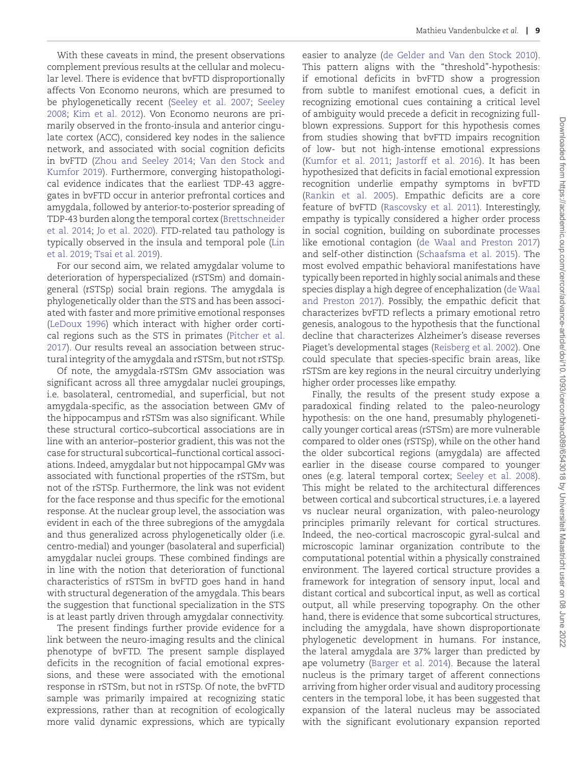With these caveats in mind, the present observations complement previous results at the cellular and molecular level. There is evidence that bvFTD disproportionally affects Von Economo neurons, which are presumed to be phylogenetically recent ([Seeley et al. 200](#page-10-27)7; [Seeley](#page-10-28) 2008; [Kim et al. 2012](#page-10-9)). Von Economo neurons are primarily observed in the fronto-insula and anterior cingulate cortex (ACC), considered key nodes in the salience network, and associated with social cognition deficits in bvFTD ([Zhou and Seeley 201](#page-11-9)4; [Van den Stock and](#page-11-3) Kumfor 2019). Furthermore, converging histopathological evidence indicates that the earliest TDP-43 aggregates in bvFTD occur in anterior prefrontal cortices and amygdala, followed by anterior-to-posterior spreading of TDP-43 burden along the temporal cortex [\(Brettschneider](#page-9-9) et al. 2014; [Jo et al. 2020](#page-10-29)). FTD-related tau pathology is typically observed in the insula and temporal pole (Lin et al. 2019; [Tsai et al. 2019\)](#page-10-30).

For our second aim, we related amygdalar volume to deterioration of hyperspecialized (rSTSm) and domaingeneral (rSTSp) social brain regions. The amygdala is phylogenetically older than the STS and has been associated with faster and more primitive emotional responses [\(LeDoux 1996](#page-10-31)) which interact with higher order cortical regions such as the STS in primates ([Pitcher et al.](#page-10-12) 2017). Our results reveal an association between structural integrity of the amygdala and rSTSm, but not rSTSp.

Of note, the amygdala-rSTSm GMv association was significant across all three amygdalar nuclei groupings, i.e. basolateral, centromedial, and superficial, but not amygdala-specific, as the association between GMv of the hippocampus and rSTSm was also significant. While these structural cortico–subcortical associations are in line with an anterior–posterior gradient, this was not the case for structural subcortical–functional cortical associations. Indeed, amygdalar but not hippocampal GMv was associated with functional properties of the rSTSm, but not of the rSTSp. Furthermore, the link was not evident for the face response and thus specific for the emotional response. At the nuclear group level, the association was evident in each of the three subregions of the amygdala and thus generalized across phylogenetically older (i.e. centro-medial) and younger (basolateral and superficial) amygdalar nuclei groups. These combined findings are in line with the notion that deterioration of functional characteristics of rSTSm in bvFTD goes hand in hand with structural degeneration of the amygdala. This bears the suggestion that functional specialization in the STS is at least partly driven through amygdalar connectivity.

The present findings further provide evidence for a link between the neuro-imaging results and the clinical phenotype of bvFTD. The present sample displayed deficits in the recognition of facial emotional expressions, and these were associated with the emotional response in rSTSm, but not in rSTSp. Of note, the bvFTD sample was primarily impaired at recognizing static expressions, rather than at recognition of ecologically more valid dynamic expressions, which are typically

easier to analyze [\(de Gelder and Van den Stock 201](#page-9-10)0). This pattern aligns with the "threshold"-hypothesis: if emotional deficits in bvFTD show a progression from subtle to manifest emotional cues, a deficit in recognizing emotional cues containing a critical level of ambiguity would precede a deficit in recognizing fullblown expressions. Support for this hypothesis comes from studies showing that bvFTD impairs recognition of low- but not high-intense emotional expressions [\(Kumfor et al. 201](#page-10-32)1; [Jastorff et al. 201](#page-10-33)6). It has been hypothesized that deficits in facial emotional expression recognition underlie empathy symptoms in bvFTD [\(Rankin et al. 20](#page-10-34)05). Empathic deficits are a core feature of bvFTD ([Rascovsky et al. 2011](#page-10-18)). Interestingly, empathy is typically considered a higher order process in social cognition, building on subordinate processes [like em](#page-10-10)otional contagion [\(de Waal and Preston 201](#page-9-11)7) and self-other distinction [\(Schaafsma et al. 2015](#page-10-35)). The most evolved empathic behavioral manifestations have typically been reported in highly social animals and these species display a high degree of encephalization [\(de Waal](#page-9-11) and Preston 2017). Possibly, the empathic deficit that characterizes bvFTD ref lects a primary emotional retro genesis, analogous to the hypothesis that the functional decline that characterizes Alzheimer's disease reverses Piaget's developmental stages [\(Reisberg et al. 2002](#page-10-36)). One could speculate that species-specific brain areas, like rSTSm are key regions in the neural circuitry underlying higher order processes like empathy.

Finally, the results of the present study expose a paradoxical finding related to the paleo-neurology hypothesis: on the one hand, presumably phylogenetically younger cortical areas (rSTSm) are more vulnerable compared to older ones (rSTSp), while on the other hand the older subcortical regions (amygdala) are affected earlier in the disease course compared to younger ones (e.g. lateral temporal cortex; [Seeley et al. 200](#page-10-23)8). This might be related to the architectural differences between cortical and subcortical structures, i.e. a layered vs nuclear neural organization, with paleo-neurology principles primarily relevant for cortical structures. Indeed, the neo-cortical macroscopic gyral-sulcal and microscopic laminar organization contribute to the computational potential within a physically constrained environment. The layered cortical structure provides a framework for integration of sensory input, local and distant cortical and subcortical input, as well as cortical output, all while preserving topography. On the other hand, there is evidence that some subcortical structures, including the amygdala, have shown disproportionate phylogenetic development in humans. For instance, the lateral amygdala are 37% larger than predicted by ape volumetry [\(Barger et al. 2014](#page-9-12)). Because the lateral nucleus is the primary target of afferent connections arriving from higher order visual and auditory processing centers in the temporal lobe, it has been suggested that expansion of the lateral nucleus may be associated with the significant evolutionary expansion reported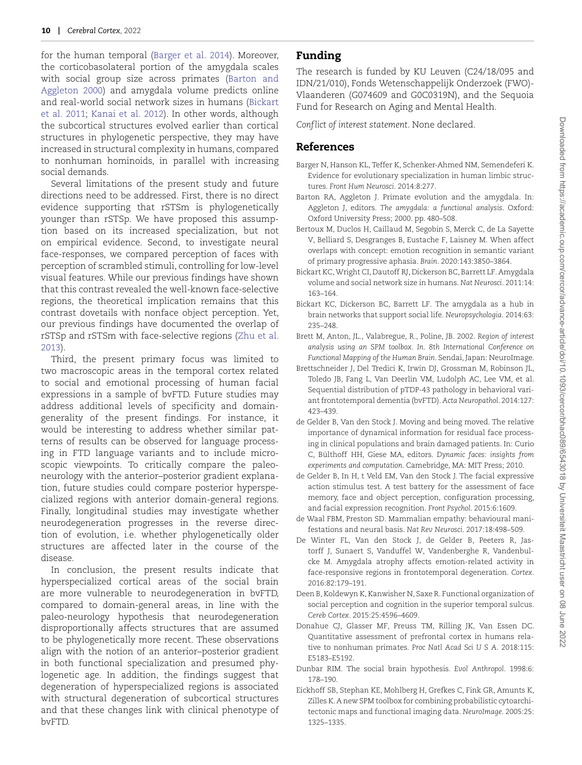for the human temporal [\(Barger et al. 2014](#page-9-12)). Moreover, the corticobasolateral portion of the amygdala scales with social group size across primates ([Barton and](#page-9-13) Aggleton 2000) and amygdala volume predicts online and real-world social network sizes in humans ([Bickart](#page-9-14) et al. 2011; [Kanai et al. 2012](#page-10-37)). In other words, although the subcortical structures evolved earlier than cortical structures in phylogenetic perspective, they may have increased in structural complexity in humans, compared to nonhuman hominoids, in parallel with increasing social demands.

Several limitations of the present study and future directions need to be addressed. First, there is no direct evidence supporting that rSTSm is phylogenetically younger than rSTSp. We have proposed this assumption based on its increased specialization, but not on empirical evidence. Second, to investigate neural face-responses, we compared perception of faces with perception of scrambled stimuli, controlling for low-level visual features. While our previous findings have shown that this contrast revealed the well-known face-selective regions, the theoretical implication remains that this contrast dovetails with nonface object perception. Yet, our previous findings have documented the overlap of rSTSp and rSTSm with face-selective regions [\(Zhu et al.](#page-11-2) 2013).

Third, the present primary focus was limited to two macroscopic areas in the temporal cortex related to social and emotional processing of human facial expressions in a sample of bvFTD. Future studies may address additional levels of specificity and domaingenerality of the present findings. For instance, it would be interesting to address whether similar patterns of results can be observed for language processing in FTD language variants and to include microscopic viewpoints. To critically compare the paleoneurology with the anterior–posterior gradient explanation, future studies could compare posterior hyperspecialized regions with anterior domain-general regions. Finally, longitudinal studies may investigate whether neurodegeneration progresses in the reverse direction of evolution, i.e. whether phylogenetically older structures are affected later in the course of the disease.

In conclusion, the present results indicate that hyperspecialized cortical areas of the social brain are more vulnerable to neurodegeneration in bvFTD, compared to domain-general areas, in line with the paleo-neurology hypothesis that neurodegeneration disproportionally affects structures that are assumed to be phylogenetically more recent. These observations align with the notion of an anterior–posterior gradient in both functional specialization and presumed phylogenetic age. In addition, the findings suggest that degeneration of hyperspecialized regions is associated with structural degeneration of subcortical structures and that these changes link with clinical phenotype of bvFTD.

# **Funding**

The research is funded by KU Leuven (C24/18/095 and IDN/21/010), Fonds Wetenschappelijk Onderzoek (FWO)- Vlaanderen (G074609 and G0C0319N), and the Sequoia Fund for Research on Aging and Mental Health.

*Conflict of interest statement*. None declared.

# **References**

- <span id="page-9-12"></span>Barger N, Hanson KL, Teffer K, Schenker-Ahmed NM, Semendeferi K. Evidence for evolutionary specialization in human limbic structures. *Front Hum Neurosci*. 2014:8:277.
- <span id="page-9-13"></span>Barton RA, Aggleton J. Primate evolution and the amygdala. In: Aggleton J, editors. *The amygdala: a functional analysis*. Oxford: Oxford University Press; 2000. pp. 480–508.
- <span id="page-9-8"></span>Bertoux M, Duclos H, Caillaud M, Segobin S, Merck C, de La Sayette V, Belliard S, Desgranges B, Eustache F, Laisney M. When affect overlaps with concept: emotion recognition in semantic variant of primary progressive aphasia. *Brain*. 2020:143:3850–3864.
- <span id="page-9-14"></span>Bickart KC,Wright CI, Dautoff RJ, Dickerson BC, Barrett LF. Amygdala volume and social network size in humans. *Nat Neurosci*. 2011:14: 163–164.
- <span id="page-9-3"></span>Bickart KC, Dickerson BC, Barrett LF. The amygdala as a hub in brain networks that support social life. *Neuropsychologia*. 2014:63: 235–248.
- <span id="page-9-7"></span>Brett M, Anton, JL., Valabregue, R., Poline, JB. 2002. *Region of interest analysis using an SPM toolbox*. *In. 8th International Conference on Functional Mapping of the Human Brain*. Sendai, Japan: NeuroImage.
- <span id="page-9-9"></span>Brettschneider J, Del Tredici K, Irwin DJ, Grossman M, Robinson JL, Toledo JB, Fang L, Van Deerlin VM, Ludolph AC, Lee VM, et al. Sequential distribution of pTDP-43 pathology in behavioral variant frontotemporal dementia (bvFTD). *Acta Neuropathol*. 2014:127: 423–439.
- <span id="page-9-10"></span>de Gelder B, Van den Stock J. Moving and being moved. The relative importance of dynamical information for residual face processing in clinical populations and brain damaged patients. In: Curio C, Bülthoff HH, Giese MA, editors. *Dynamic faces: insights from experiments and computation*. Camebridge, MA: MIT Press; 2010.
- <span id="page-9-5"></span>de Gelder B, In H, t Veld EM, Van den Stock J. The facial expressive action stimulus test. A test battery for the assessment of face memory, face and object perception, configuration processing, and facial expression recognition. *Front Psychol*. 2015:6:1609.
- <span id="page-9-11"></span>de Waal FBM, Preston SD. Mammalian empathy: behavioural manifestations and neural basis. *Nat Rev Neurosci*. 2017:18:498–509.
- <span id="page-9-4"></span>De Winter FL, Van den Stock J, de Gelder B, Peeters R, Jastorff J, Sunaert S, Vanduffel W, Vandenberghe R, Vandenbulcke M. Amygdala atrophy affects emotion-related activity in face-responsive regions in frontotemporal degeneration. *Cortex*. 2016:82:179–191.
- <span id="page-9-2"></span>Deen B, Koldewyn K, Kanwisher N, Saxe R. Functional organization of social perception and cognition in the superior temporal sulcus. *Cereb Cortex*. 2015:25:4596–4609.
- <span id="page-9-0"></span>Donahue CJ, Glasser MF, Preuss TM, Rilling JK, Van Essen DC. Quantitative assessment of prefrontal cortex in humans relative to nonhuman primates. *Proc Natl Acad Sci U S A*. 2018:115: E5183–E5192.
- <span id="page-9-1"></span>Dunbar RIM. The social brain hypothesis. *Evol Anthropol*. 1998:6: 178–190.
- <span id="page-9-6"></span>Eickhoff SB, Stephan KE, Mohlberg H, Grefkes C, Fink GR, Amunts K, Zilles K. A new SPM toolbox for combining probabilistic cytoarchitectonic maps and functional imaging data. *NeuroImage*. 2005:25: 1325–1335.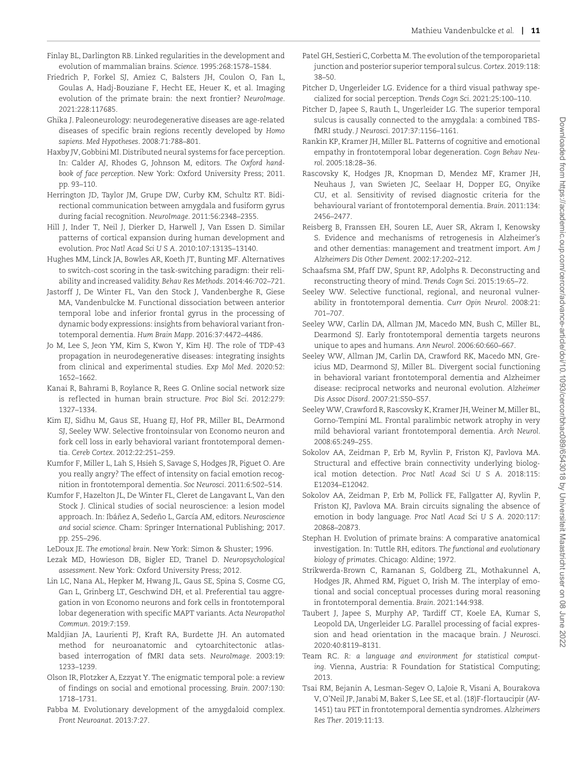- <span id="page-10-0"></span>Finlay BL, Darlington RB. Linked regularities in the development and evolution of mammalian brains. *Science*. 1995:268:1578–1584.
- <span id="page-10-5"></span>Friedrich P, Forkel SJ, Amiez C, Balsters JH, Coulon O, Fan L, Goulas A, Hadj-Bouziane F, Hecht EE, Heuer K, et al. Imaging evolution of the primate brain: the next frontier? *NeuroImage*. 2021:228:117685.
- <span id="page-10-6"></span>Ghika J. Paleoneurology: neurodegenerative diseases are age-related diseases of specific brain regions recently developed by *Homo sapiens*. *Med Hypotheses*. 2008:71:788–801.
- <span id="page-10-3"></span>Haxby JV, Gobbini MI. Distributed neural systems for face perception. In: Calder AJ, Rhodes G, Johnson M, editors. *The Oxford handbook of face perception*. New York: Oxford University Press; 2011. pp. 93–110.
- <span id="page-10-11"></span>Herrington JD, Taylor JM, Grupe DW, Curby KM, Schultz RT. Bidirectional communication between amygdala and fusiform gyrus during facial recognition. *NeuroImage*. 2011:56:2348–2355.
- <span id="page-10-1"></span>Hill J, Inder T, Neil J, Dierker D, Harwell J, Van Essen D. Similar patterns of cortical expansion during human development and evolution. *Proc Natl Acad Sci U S A*. 2010:107:13135–13140.
- <span id="page-10-22"></span>Hughes MM, Linck JA, Bowles AR, Koeth JT, Bunting MF. Alternatives to switch-cost scoring in the task-switching paradigm: their reliability and increased validity. *Behav Res Methods*. 2014:46:702–721.
- <span id="page-10-33"></span>Jastorff J, De Winter FL, Van den Stock J, Vandenberghe R, Giese MA, Vandenbulcke M. Functional dissociation between anterior temporal lobe and inferior frontal gyrus in the processing of dynamic body expressions: insights from behavioral variant frontotemporal dementia. *Hum Brain Mapp*. 2016:37:4472–4486.
- <span id="page-10-29"></span>Jo M, Lee S, Jeon YM, Kim S, Kwon Y, Kim HJ. The role of TDP-43 propagation in neurodegenerative diseases: integrating insights from clinical and experimental studies. *Exp Mol Med*. 2020:52: 1652–1662.
- <span id="page-10-37"></span>Kanai R, Bahrami B, Roylance R, Rees G. Online social network size is ref lected in human brain structure. *Proc Biol Sci*. 2012:279: 1327–1334.
- <span id="page-10-9"></span>Kim EJ, Sidhu M, Gaus SE, Huang EJ, Hof PR, Miller BL, DeArmond SJ, Seeley WW. Selective frontoinsular von Economo neuron and fork cell loss in early behavioral variant frontotemporal dementia. *Cereb Cortex*. 2012:22:251–259.
- <span id="page-10-32"></span>Kumfor F, Miller L, Lah S, Hsieh S, Savage S, Hodges JR, Piguet O. Are you really angry? The effect of intensity on facial emotion recognition in frontotemporal dementia. *Soc Neurosci*. 2011:6:502–514.
- <span id="page-10-7"></span>Kumfor F, Hazelton JL, De Winter FL, Cleret de Langavant L, Van den Stock J. Clinical studies of social neuroscience: a lesion model approach. In: Ibáñez A, Sedeño L, García AM, editors. *Neuroscience and social science*. Cham: Springer International Publishing; 2017. pp. 255–296.
- <span id="page-10-31"></span>LeDoux JE. *The emotional brain*. New York: Simon & Shuster; 1996.
- <span id="page-10-19"></span>Lezak MD, Howieson DB, Bigler ED, Tranel D. *Neuropsychological assessment*. New York: Oxford University Press; 2012.
- <span id="page-10-10"></span>Lin LC, Nana AL, Hepker M, Hwang JL, Gaus SE, Spina S, Cosme CG, Gan L, Grinberg LT, Geschwind DH, et al. Preferential tau aggregation in von Economo neurons and fork cells in frontotemporal lobar degeneration with specific MAPT variants. *Acta Neuropathol Commun*. 2019:7:159.
- <span id="page-10-20"></span>Maldjian JA, Laurienti PJ, Kraft RA, Burdette JH. An automated method for neuroanatomic and cytoarchitectonic atlasbased interrogation of fMRI data sets. *NeuroImage*. 2003:19: 1233–1239.
- <span id="page-10-25"></span>Olson IR, Plotzker A, Ezzyat Y. The enigmatic temporal pole: a review of findings on social and emotional processing. *Brain*. 2007:130: 1718–1731.
- <span id="page-10-17"></span><span id="page-10-2"></span>Pabba M. Evolutionary development of the amygdaloid complex. *Front Neuroanat*. 2013:7:27.
- Patel GH, Sestieri C, Corbetta M. The evolution of the temporoparietal junction and posterior superior temporal sulcus. *Cortex*. 2019:118: 38–50.
- <span id="page-10-4"></span>Pitcher D, Ungerleider LG. Evidence for a third visual pathway specialized for social perception. *Trends Cogn Sci*. 2021:25:100–110.
- <span id="page-10-12"></span>Pitcher D, Japee S, Rauth L, Ungerleider LG. The superior temporal sulcus is causally connected to the amygdala: a combined TBSfMRI study. *J Neurosci*. 2017:37:1156–1161.
- <span id="page-10-34"></span>Rankin KP, Kramer JH, Miller BL. Patterns of cognitive and emotional empathy in frontotemporal lobar degeneration. *Cogn Behav Neurol*. 2005:18:28–36.
- <span id="page-10-18"></span>Rascovsky K, Hodges JR, Knopman D, Mendez MF, Kramer JH, Neuhaus J, van Swieten JC, Seelaar H, Dopper EG, Onyike CU, et al. Sensitivity of revised diagnostic criteria for the behavioural variant of frontotemporal dementia. *Brain*. 2011:134: 2456–2477.
- <span id="page-10-36"></span>Reisberg B, Franssen EH, Souren LE, Auer SR, Akram I, Kenowsky S. Evidence and mechanisms of retrogenesis in Alzheimer's and other dementias: management and treatment import. *Am J Alzheimers Dis Other Dement*. 2002:17:202–212.
- <span id="page-10-35"></span>Schaafsma SM, Pfaff DW, Spunt RP, Adolphs R. Deconstructing and reconstructing theory of mind. *Trends Cogn Sci*. 2015:19:65–72.
- <span id="page-10-28"></span>Seeley WW. Selective functional, regional, and neuronal vulnerability in frontotemporal dementia. *Curr Opin Neurol*. 2008:21: 701–707.
- <span id="page-10-8"></span>Seeley WW, Carlin DA, Allman JM, Macedo MN, Bush C, Miller BL, Dearmond SJ. Early frontotemporal dementia targets neurons unique to apes and humans. *Ann Neurol*. 2006:60:660–667.
- <span id="page-10-27"></span>Seeley WW, Allman JM, Carlin DA, Crawford RK, Macedo MN, Greicius MD, Dearmond SJ, Miller BL. Divergent social functioning in behavioral variant frontotemporal dementia and Alzheimer disease: reciprocal networks and neuronal evolution. *Alzheimer Dis Assoc Disord*. 2007:21:S50–S57.
- <span id="page-10-23"></span>Seeley WW, Crawford R, Rascovsky K, Kramer JH, Weiner M, Miller BL, Gorno-Tempini ML. Frontal paralimbic network atrophy in very mild behavioral variant frontotemporal dementia. *Arch Neurol*. 2008:65:249–255.
- <span id="page-10-13"></span>Sokolov AA, Zeidman P, Erb M, Ryvlin P, Friston KJ, Pavlova MA. Structural and effective brain connectivity underlying biological motion detection. *Proc Natl Acad Sci U S A*. 2018:115: E12034–E12042.
- <span id="page-10-14"></span>Sokolov AA, Zeidman P, Erb M, Pollick FE, Fallgatter AJ, Ryvlin P, Friston KJ, Pavlova MA. Brain circuits signaling the absence of emotion in body language. *Proc Natl Acad Sci U S A*. 2020:117: 20868–20873.
- <span id="page-10-15"></span>Stephan H. Evolution of primate brains: A comparative anatomical investigation. In: Tuttle RH, editors. *The functional and evolutionary biology of primates*. Chicago: Aldine; 1972.
- <span id="page-10-26"></span>Strikwerda-Brown C, Ramanan S, Goldberg ZL, Mothakunnel A, Hodges JR, Ahmed RM, Piguet O, Irish M. The interplay of emotional and social conceptual processes during moral reasoning in frontotemporal dementia. *Brain*. 2021:144:938.
- <span id="page-10-16"></span>Taubert J, Japee S, Murphy AP, Tardiff CT, Koele EA, Kumar S, Leopold DA, Ungerleider LG. Parallel processing of facial expression and head orientation in the macaque brain. *J Neurosci*. 2020:40:8119–8131.
- <span id="page-10-21"></span>Team RC. *R: a language and environment for statistical computing*. Vienna, Austria: R Foundation for Statistical Computing; 2013.
- <span id="page-10-30"></span><span id="page-10-24"></span>Tsai RM, Bejanin A, Lesman-Segev O, LaJoie R, Visani A, Bourakova V, O'Neil JP, Janabi M, Baker S, Lee SE, et al. (18)F-f lortaucipir (AV-1451) tau PET in frontotemporal dementia syndromes. *Alzheimers Res Ther*. 2019:11:13.